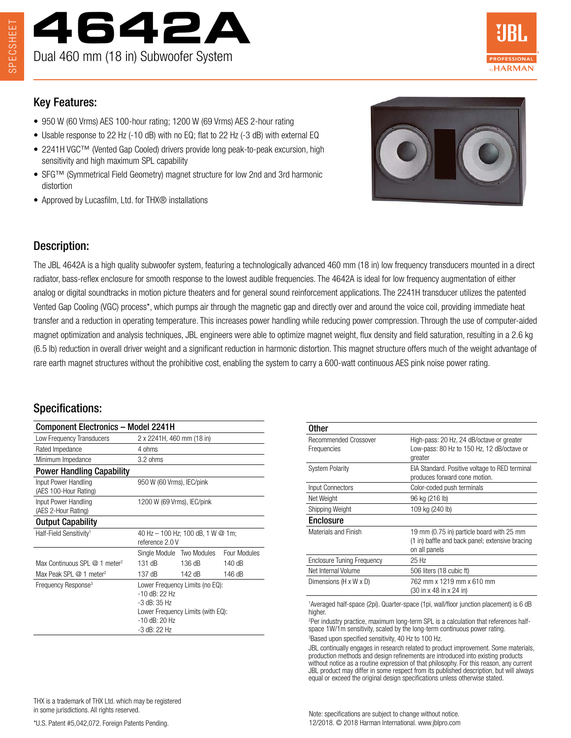



# Key Features:

- 950 W (60 Vrms) AES 100-hour rating; 1200 W (69 Vrms) AES 2-hour rating
- Usable response to 22 Hz (-10 dB) with no EQ; flat to 22 Hz (-3 dB) with external EQ
- 2241H VGC™ (Vented Gap Cooled) drivers provide long peak-to-peak excursion, high sensitivity and high maximum SPL capability
- SFG™ (Symmetrical Field Geometry) magnet structure for low 2nd and 3rd harmonic distortion
- Approved by Lucasfilm, Ltd. for THX® installations



## Description:

The JBL 4642A is a high quality subwoofer system, featuring a technologically advanced 460 mm (18 in) low frequency transducers mounted in a direct radiator, bass-reflex enclosure for smooth response to the lowest audible frequencies. The 4642A is ideal for low frequency augmentation of either analog or digital soundtracks in motion picture theaters and for general sound reinforcement applications. The 2241H transducer utilizes the patented Vented Gap Cooling (VGC) process\*, which pumps air through the magnetic gap and directly over and around the voice coil, providing immediate heat transfer and a reduction in operating temperature. This increases power handling while reducing power compression. Through the use of computer-aided magnet optimization and analysis techniques, JBL engineers were able to optimize magnet weight, flux density and field saturation, resulting in a 2.6 kg (6.5 lb) reduction in overall driver weight and a significant reduction in harmonic distortion. This magnet structure offers much of the weight advantage of rare earth magnet structures without the prohibitive cost, enabling the system to carry a 600-watt continuous AES pink noise power rating.

## Specifications:

| Component Electronics – Model 2241H           |                                                                                                                                                  |                           |              |
|-----------------------------------------------|--------------------------------------------------------------------------------------------------------------------------------------------------|---------------------------|--------------|
| Low Frequency Transducers                     | 2 x 2241H, 460 mm (18 in)                                                                                                                        |                           |              |
| Rated Impedance                               | 4 ohms                                                                                                                                           |                           |              |
| Minimum Impedance                             | $3.2 \text{ ohms}$                                                                                                                               |                           |              |
| <b>Power Handling Capability</b>              |                                                                                                                                                  |                           |              |
| Input Power Handling<br>(AES 100-Hour Rating) | 950 W (60 Vrms), IEC/pink                                                                                                                        |                           |              |
| Input Power Handling<br>(AES 2-Hour Rating)   | 1200 W (69 Vrms), IEC/pink                                                                                                                       |                           |              |
| <b>Output Capability</b>                      |                                                                                                                                                  |                           |              |
| Half-Field Sensitivity <sup>1</sup>           | 40 Hz $-$ 100 Hz; 100 dB, 1 W @ 1m;<br>reference 2.0 V                                                                                           |                           |              |
|                                               |                                                                                                                                                  | Single Module Two Modules | Four Modules |
| Max Continuous SPL @ 1 meter <sup>2</sup>     | 131 dB                                                                                                                                           | 136 dB                    | 140dB        |
| Max Peak SPL @ 1 meter <sup>2</sup>           | $137 \text{ dB}$                                                                                                                                 | 142 dB                    | 146 dB       |
| Frequency Response <sup>3</sup>               | Lower Frequency Limits (no EQ):<br>$-10$ dB: 22 Hz<br>$-3$ dB: $35$ Hz<br>Lower Frequency Limits (with EQ):<br>$-10$ dB: $20$ Hz<br>-3 dB: 22 Hz |                           |              |

| Other                                |                                                                                                               |  |
|--------------------------------------|---------------------------------------------------------------------------------------------------------------|--|
| Recommended Crossover<br>Frequencies | High-pass: 20 Hz, 24 dB/octave or greater<br>Low-pass: 80 Hz to 150 Hz, 12 dB/octave or<br>greater            |  |
| <b>System Polarity</b>               | EIA Standard. Positive voltage to RED terminal<br>produces forward cone motion.                               |  |
| Input Connectors                     | Color-coded push terminals                                                                                    |  |
| Net Weight                           | 96 kg (216 lb)                                                                                                |  |
| Shipping Weight                      | 109 kg (240 lb)                                                                                               |  |
| Enclosure                            |                                                                                                               |  |
| Materials and Finish                 | 19 mm (0.75 in) particle board with 25 mm<br>(1 in) baffle and back panel; extensive bracing<br>on all panels |  |
| <b>Enclosure Tuning Frequency</b>    | 25 Hz                                                                                                         |  |
| Net Internal Volume                  | 506 liters (18 cubic ft)                                                                                      |  |
| Dimensions (H x W x D)               | 762 mm x 1219 mm x 610 mm<br>(30 in x 48 in x 24 in)                                                          |  |
|                                      |                                                                                                               |  |

<sup>1</sup>Averaged half-space (2pi). Quarter-space (1pi, wall/floor junction placement) is 6 dB higher.

2 Per industry practice, maximum long-term SPL is a calculation that references halfspace 1W/1m sensitivity, scaled by the long-term continuous power rating. 3 Based upon specified sensitivity, 40 Hz to 100 Hz.

JBL continually engages in research related to product improvement. Some materials, production methods and design refinements are introduced into existing products without notice as a routine expression of that philosophy. For this reason, any current JBL product may differ in some respect from its published description, but will always equal or exceed the original design specifications unless otherwise stated.

THX is a trademark of THX Ltd. which may be registered in some jurisdictions. All rights reserved.

\*U.S. Patent #5,042,072. Foreign Patents Pending.